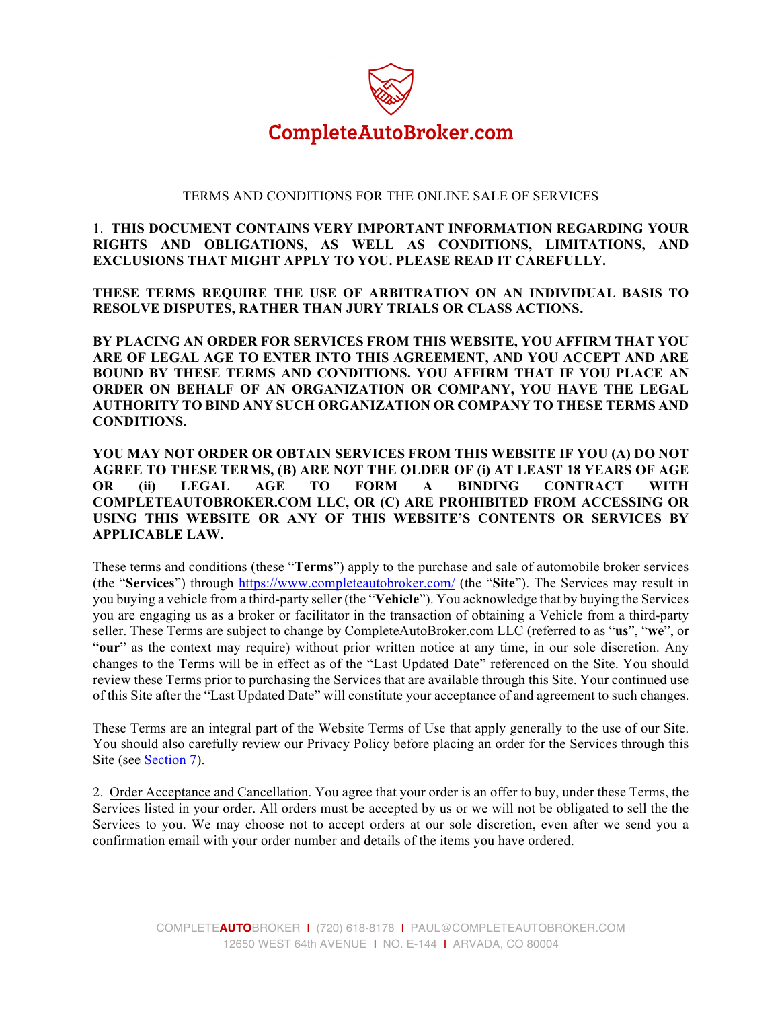

## TERMS AND CONDITIONS FOR THE ONLINE SALE OF SERVICES

1. **THIS DOCUMENT CONTAINS VERY IMPORTANT INFORMATION REGARDING YOUR RIGHTS AND OBLIGATIONS, AS WELL AS CONDITIONS, LIMITATIONS, AND EXCLUSIONS THAT MIGHT APPLY TO YOU. PLEASE READ IT CAREFULLY.**

**THESE TERMS REQUIRE THE USE OF ARBITRATION ON AN INDIVIDUAL BASIS TO RESOLVE DISPUTES, RATHER THAN JURY TRIALS OR CLASS ACTIONS.**

**BY PLACING AN ORDER FOR SERVICES FROM THIS WEBSITE, YOU AFFIRM THAT YOU ARE OF LEGAL AGE TO ENTER INTO THIS AGREEMENT, AND YOU ACCEPT AND ARE BOUND BY THESE TERMS AND CONDITIONS. YOU AFFIRM THAT IF YOU PLACE AN ORDER ON BEHALF OF AN ORGANIZATION OR COMPANY, YOU HAVE THE LEGAL AUTHORITY TO BIND ANY SUCH ORGANIZATION OR COMPANY TO THESE TERMS AND CONDITIONS.** 

**YOU MAY NOT ORDER OR OBTAIN SERVICES FROM THIS WEBSITE IF YOU (A) DO NOT AGREE TO THESE TERMS, (B) ARE NOT THE OLDER OF (i) AT LEAST 18 YEARS OF AGE OR (ii) LEGAL AGE TO FORM A BINDING CONTRACT WITH COMPLETEAUTOBROKER.COM LLC, OR (C) ARE PROHIBITED FROM ACCESSING OR USING THIS WEBSITE OR ANY OF THIS WEBSITE'S CONTENTS OR SERVICES BY APPLICABLE LAW.**

These terms and conditions (these "**Terms**") apply to the purchase and sale of automobile broker services (the "**Services**") through https://www.completeautobroker.com/ (the "**Site**"). The Services may result in you buying a vehicle from a third-party seller (the "**Vehicle**"). You acknowledge that by buying the Services you are engaging us as a broker or facilitator in the transaction of obtaining a Vehicle from a third-party seller. These Terms are subject to change by CompleteAutoBroker.com LLC (referred to as "**us**", "**we**", or "our" as the context may require) without prior written notice at any time, in our sole discretion. Any changes to the Terms will be in effect as of the "Last Updated Date" referenced on the Site. You should review these Terms prior to purchasing the Services that are available through this Site. Your continued use of this Site after the "Last Updated Date" will constitute your acceptance of and agreement to such changes.

These Terms are an integral part of the Website Terms of Use that apply generally to the use of our Site. You should also carefully review our Privacy Policy before placing an order for the Services through this Site (see Section 7).

2. Order Acceptance and Cancellation. You agree that your order is an offer to buy, under these Terms, the Services listed in your order. All orders must be accepted by us or we will not be obligated to sell the the Services to you. We may choose not to accept orders at our sole discretion, even after we send you a confirmation email with your order number and details of the items you have ordered.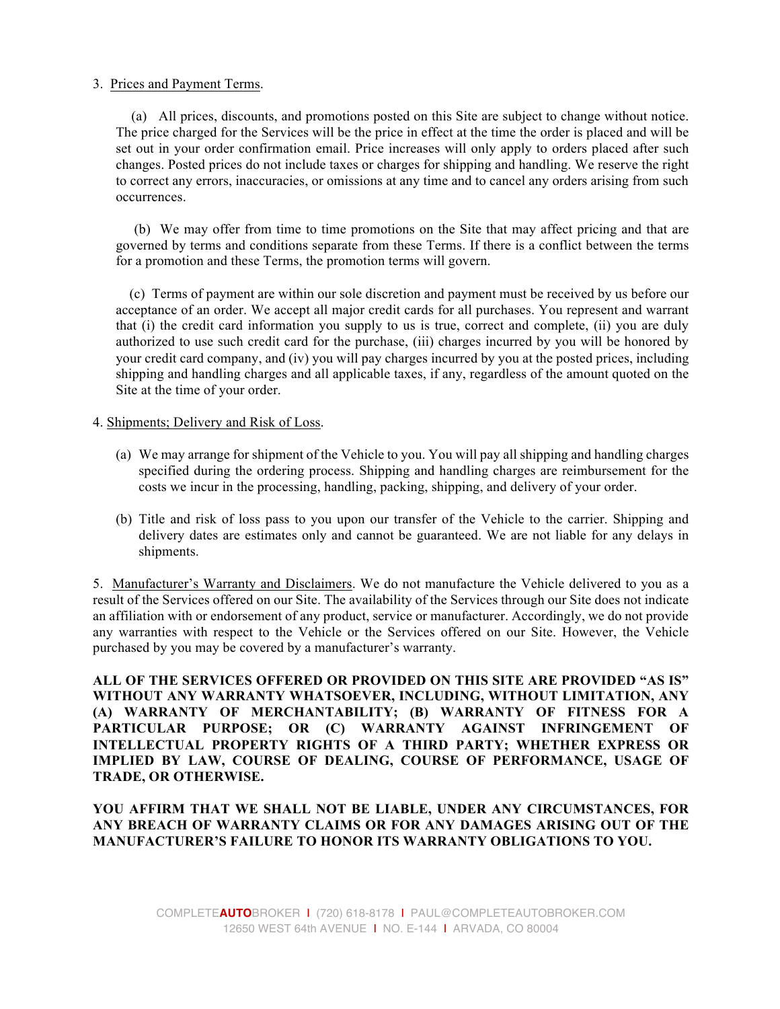## 3. Prices and Payment Terms.

 (a) All prices, discounts, and promotions posted on this Site are subject to change without notice. The price charged for the Services will be the price in effect at the time the order is placed and will be set out in your order confirmation email. Price increases will only apply to orders placed after such changes. Posted prices do not include taxes or charges for shipping and handling. We reserve the right to correct any errors, inaccuracies, or omissions at any time and to cancel any orders arising from such occurrences.

 (b) We may offer from time to time promotions on the Site that may affect pricing and that are governed by terms and conditions separate from these Terms. If there is a conflict between the terms for a promotion and these Terms, the promotion terms will govern.

 (c) Terms of payment are within our sole discretion and payment must be received by us before our acceptance of an order. We accept all major credit cards for all purchases. You represent and warrant that (i) the credit card information you supply to us is true, correct and complete, (ii) you are duly authorized to use such credit card for the purchase, (iii) charges incurred by you will be honored by your credit card company, and (iv) you will pay charges incurred by you at the posted prices, including shipping and handling charges and all applicable taxes, if any, regardless of the amount quoted on the Site at the time of your order.

## 4. Shipments; Delivery and Risk of Loss.

- (a) We may arrange for shipment of the Vehicle to you. You will pay all shipping and handling charges specified during the ordering process. Shipping and handling charges are reimbursement for the costs we incur in the processing, handling, packing, shipping, and delivery of your order.
- (b) Title and risk of loss pass to you upon our transfer of the Vehicle to the carrier. Shipping and delivery dates are estimates only and cannot be guaranteed. We are not liable for any delays in shipments.

5. Manufacturer's Warranty and Disclaimers. We do not manufacture the Vehicle delivered to you as a result of the Services offered on our Site. The availability of the Services through our Site does not indicate an affiliation with or endorsement of any product, service or manufacturer. Accordingly, we do not provide any warranties with respect to the Vehicle or the Services offered on our Site. However, the Vehicle purchased by you may be covered by a manufacturer's warranty.

**ALL OF THE SERVICES OFFERED OR PROVIDED ON THIS SITE ARE PROVIDED "AS IS" WITHOUT ANY WARRANTY WHATSOEVER, INCLUDING, WITHOUT LIMITATION, ANY (A) WARRANTY OF MERCHANTABILITY; (B) WARRANTY OF FITNESS FOR A PARTICULAR PURPOSE; OR (C) WARRANTY AGAINST INFRINGEMENT OF INTELLECTUAL PROPERTY RIGHTS OF A THIRD PARTY; WHETHER EXPRESS OR IMPLIED BY LAW, COURSE OF DEALING, COURSE OF PERFORMANCE, USAGE OF TRADE, OR OTHERWISE.**

**YOU AFFIRM THAT WE SHALL NOT BE LIABLE, UNDER ANY CIRCUMSTANCES, FOR ANY BREACH OF WARRANTY CLAIMS OR FOR ANY DAMAGES ARISING OUT OF THE MANUFACTURER'S FAILURE TO HONOR ITS WARRANTY OBLIGATIONS TO YOU.**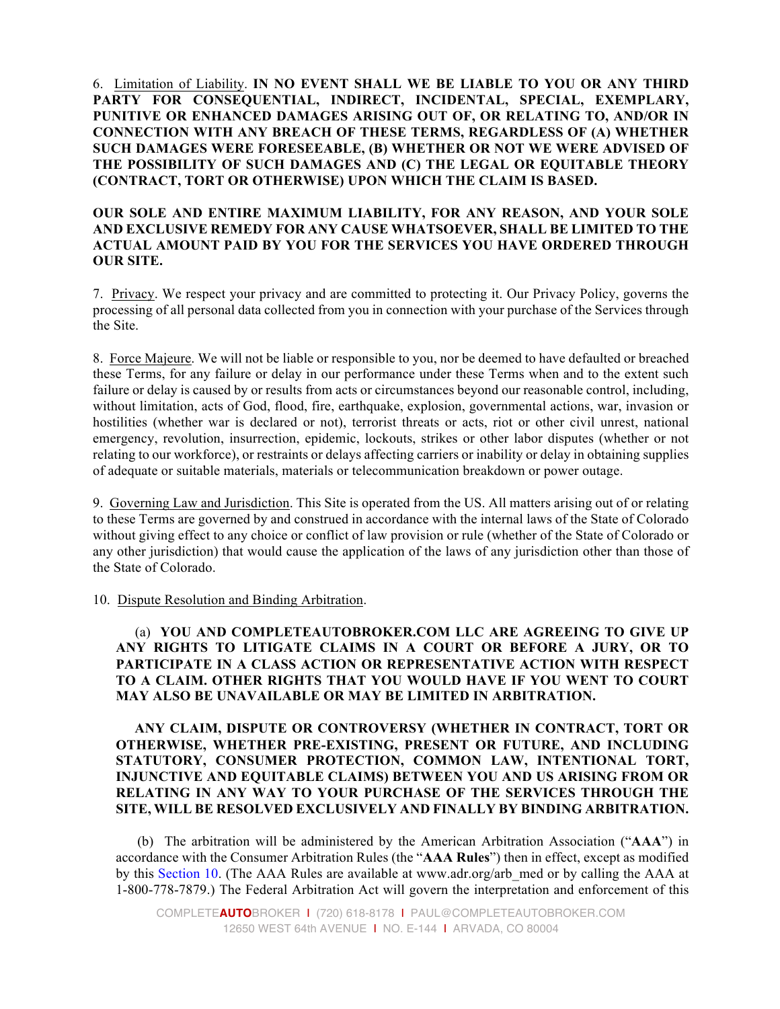6. Limitation of Liability. **IN NO EVENT SHALL WE BE LIABLE TO YOU OR ANY THIRD PARTY FOR CONSEQUENTIAL, INDIRECT, INCIDENTAL, SPECIAL, EXEMPLARY, PUNITIVE OR ENHANCED DAMAGES ARISING OUT OF, OR RELATING TO, AND/OR IN CONNECTION WITH ANY BREACH OF THESE TERMS, REGARDLESS OF (A) WHETHER SUCH DAMAGES WERE FORESEEABLE, (B) WHETHER OR NOT WE WERE ADVISED OF THE POSSIBILITY OF SUCH DAMAGES AND (C) THE LEGAL OR EQUITABLE THEORY (CONTRACT, TORT OR OTHERWISE) UPON WHICH THE CLAIM IS BASED.**

### **OUR SOLE AND ENTIRE MAXIMUM LIABILITY, FOR ANY REASON, AND YOUR SOLE AND EXCLUSIVE REMEDY FOR ANY CAUSE WHATSOEVER, SHALL BE LIMITED TO THE ACTUAL AMOUNT PAID BY YOU FOR THE SERVICES YOU HAVE ORDERED THROUGH OUR SITE.**

7. Privacy. We respect your privacy and are committed to protecting it. Our Privacy Policy, governs the processing of all personal data collected from you in connection with your purchase of the Services through the Site.

8. Force Majeure. We will not be liable or responsible to you, nor be deemed to have defaulted or breached these Terms, for any failure or delay in our performance under these Terms when and to the extent such failure or delay is caused by or results from acts or circumstances beyond our reasonable control, including, without limitation, acts of God, flood, fire, earthquake, explosion, governmental actions, war, invasion or hostilities (whether war is declared or not), terrorist threats or acts, riot or other civil unrest, national emergency, revolution, insurrection, epidemic, lockouts, strikes or other labor disputes (whether or not relating to our workforce), or restraints or delays affecting carriers or inability or delay in obtaining supplies of adequate or suitable materials, materials or telecommunication breakdown or power outage.

9. Governing Law and Jurisdiction. This Site is operated from the US. All matters arising out of or relating to these Terms are governed by and construed in accordance with the internal laws of the State of Colorado without giving effect to any choice or conflict of law provision or rule (whether of the State of Colorado or any other jurisdiction) that would cause the application of the laws of any jurisdiction other than those of the State of Colorado.

#### 10. Dispute Resolution and Binding Arbitration.

# (a) **YOU AND COMPLETEAUTOBROKER.COM LLC ARE AGREEING TO GIVE UP ANY RIGHTS TO LITIGATE CLAIMS IN A COURT OR BEFORE A JURY, OR TO PARTICIPATE IN A CLASS ACTION OR REPRESENTATIVE ACTION WITH RESPECT TO A CLAIM. OTHER RIGHTS THAT YOU WOULD HAVE IF YOU WENT TO COURT MAY ALSO BE UNAVAILABLE OR MAY BE LIMITED IN ARBITRATION.**

# **ANY CLAIM, DISPUTE OR CONTROVERSY (WHETHER IN CONTRACT, TORT OR OTHERWISE, WHETHER PRE-EXISTING, PRESENT OR FUTURE, AND INCLUDING STATUTORY, CONSUMER PROTECTION, COMMON LAW, INTENTIONAL TORT, INJUNCTIVE AND EQUITABLE CLAIMS) BETWEEN YOU AND US ARISING FROM OR RELATING IN ANY WAY TO YOUR PURCHASE OF THE SERVICES THROUGH THE SITE, WILL BE RESOLVED EXCLUSIVELY AND FINALLY BY BINDING ARBITRATION.**

 (b) The arbitration will be administered by the American Arbitration Association ("**AAA**") in accordance with the Consumer Arbitration Rules (the "**AAA Rules**") then in effect, except as modified by this Section 10. (The AAA Rules are available at www.adr.org/arb\_med or by calling the AAA at 1-800-778-7879.) The Federal Arbitration Act will govern the interpretation and enforcement of this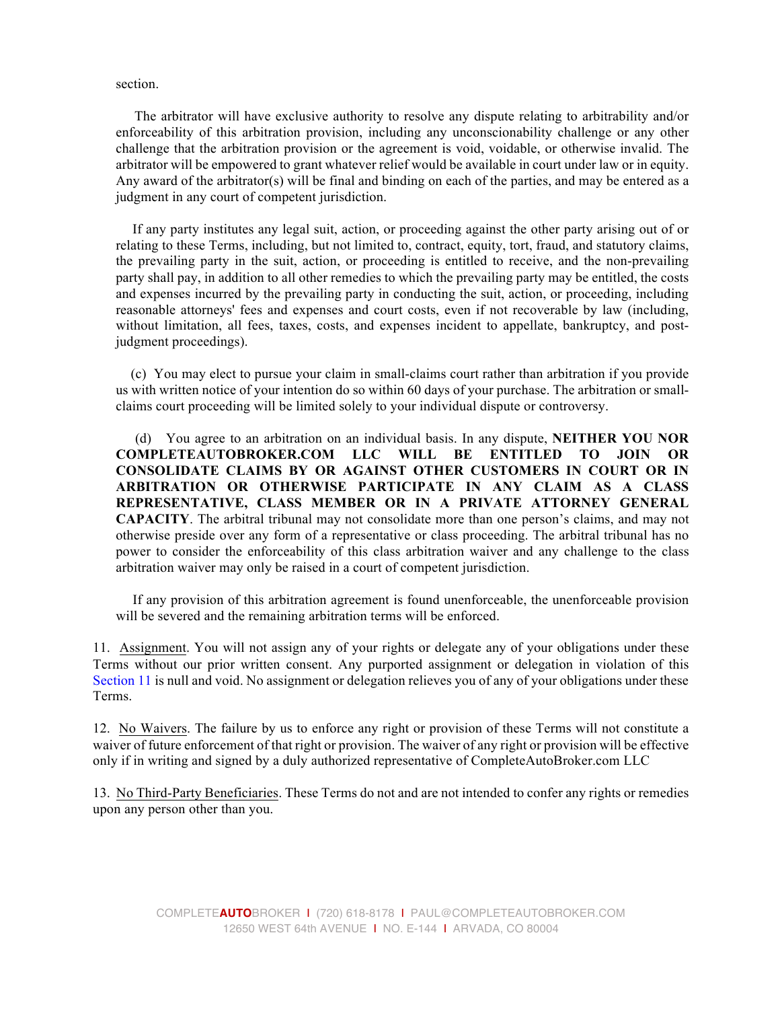section.

 The arbitrator will have exclusive authority to resolve any dispute relating to arbitrability and/or enforceability of this arbitration provision, including any unconscionability challenge or any other challenge that the arbitration provision or the agreement is void, voidable, or otherwise invalid. The arbitrator will be empowered to grant whatever relief would be available in court under law or in equity. Any award of the arbitrator(s) will be final and binding on each of the parties, and may be entered as a judgment in any court of competent jurisdiction.

 If any party institutes any legal suit, action, or proceeding against the other party arising out of or relating to these Terms, including, but not limited to, contract, equity, tort, fraud, and statutory claims, the prevailing party in the suit, action, or proceeding is entitled to receive, and the non-prevailing party shall pay, in addition to all other remedies to which the prevailing party may be entitled, the costs and expenses incurred by the prevailing party in conducting the suit, action, or proceeding, including reasonable attorneys' fees and expenses and court costs, even if not recoverable by law (including, without limitation, all fees, taxes, costs, and expenses incident to appellate, bankruptcy, and postjudgment proceedings).

 (c) You may elect to pursue your claim in small-claims court rather than arbitration if you provide us with written notice of your intention do so within 60 days of your purchase. The arbitration or smallclaims court proceeding will be limited solely to your individual dispute or controversy.

 (d) You agree to an arbitration on an individual basis. In any dispute, **NEITHER YOU NOR COMPLETEAUTOBROKER.COM LLC WILL BE ENTITLED TO JOIN OR CONSOLIDATE CLAIMS BY OR AGAINST OTHER CUSTOMERS IN COURT OR IN ARBITRATION OR OTHERWISE PARTICIPATE IN ANY CLAIM AS A CLASS REPRESENTATIVE, CLASS MEMBER OR IN A PRIVATE ATTORNEY GENERAL CAPACITY**. The arbitral tribunal may not consolidate more than one person's claims, and may not otherwise preside over any form of a representative or class proceeding. The arbitral tribunal has no power to consider the enforceability of this class arbitration waiver and any challenge to the class arbitration waiver may only be raised in a court of competent jurisdiction.

 If any provision of this arbitration agreement is found unenforceable, the unenforceable provision will be severed and the remaining arbitration terms will be enforced.

11. Assignment. You will not assign any of your rights or delegate any of your obligations under these Terms without our prior written consent. Any purported assignment or delegation in violation of this Section 11 is null and void. No assignment or delegation relieves you of any of your obligations under these Terms.

12. No Waivers. The failure by us to enforce any right or provision of these Terms will not constitute a waiver of future enforcement of that right or provision. The waiver of any right or provision will be effective only if in writing and signed by a duly authorized representative of CompleteAutoBroker.com LLC

13. No Third-Party Beneficiaries. These Terms do not and are not intended to confer any rights or remedies upon any person other than you.